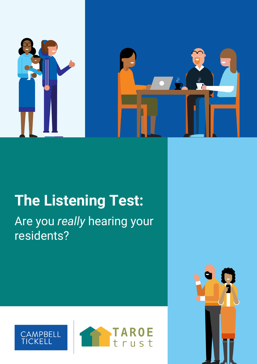

# **The Listening Test:**

Are you *really* hearing your residents?





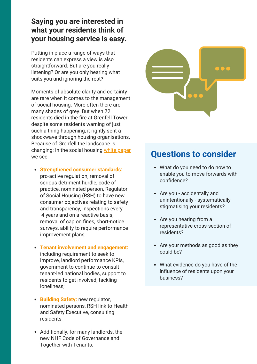#### **Saying you are interested in what your residents think of your housing service is easy.**

Putting in place a range of ways that residents can express a view is also straightforward. But are you really listening? Or are you only hearing what suits you and ignoring the rest?

Moments of absolute clarity and certainty are rare when it comes to the management of social housing. More often there are many shades of grey. But when 72 residents died in the fire at Grenfell Tower, despite some residents warning of just such a thing happening, it rightly sent a shockwave through housing organisations. Because of Grenfell the landscape is changing: In the social housing white [paper](https://www.gov.uk/government/publications/the-charter-for-social-housing-residents-social-housing-white-paper) we see:

- **Strengthened consumer standards:** pro-active regulation, removal of serious detriment hurdle, code of practice, nominated person, Regulator of Social Housing (RSH) to have new consumer objectives relating to safety and transparency, inspections every 4 years and on a reactive basis, removal of cap on fines, short-notice surveys, ability to require performance improvement plans;
- **Tenant involvement and engagement:** including requirement to seek to improve, landlord performance KPIs, government to continue to consult tenant-led national bodies, support to residents to get involved, tackling loneliness;
- **Building Safety:** new regulator, nominated persons, RSH link to Health and Safety Executive, consulting residents;
- Additionally, for many landlords, the new NHF Code of Governance and Together with Tenants.



### **Questions to consider**

- What do you need to do now to enable you to move forwards with confidence?
- Are you accidentally and unintentionally - systematically stigmatising your residents?
- Are you hearing from a representative cross-section of residents?
- Are your methods as good as they could be?
- What evidence do you have of the influence of residents upon your business?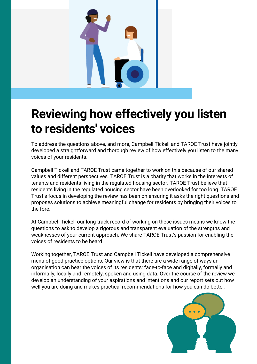

### **Reviewing how effectively you listen to residents' voices**

To address the questions above, and more, Campbell Tickell and TAROE Trust have jointly developed a straightforward and thorough review of how effectively you listen to the many voices of your residents.

Campbell Tickell and TAROE Trust came together to work on this because of our shared values and different perspectives. TAROE Trust is a charity that works in the interests of tenants and residents living in the regulated housing sector. TAROE Trust believe that residents living in the regulated housing sector have been overlooked for too long. TAROE Trust's focus in developing the review has been on ensuring it asks the right questions and proposes solutions to achieve meaningful change for residents by bringing their voices to the fore.

At Campbell Tickell our long track record of working on these issues means we know the questions to ask to develop a rigorous and transparent evaluation of the strengths and weaknesses of your current approach. We share TAROE Trust's passion for enabling the voices of residents to be heard.

Working together, TAROE Trust and Campbell Tickell have developed a comprehensive menu of good practice options. Our view is that there are a wide range of ways an organisation can hear the voices of its residents: face-to-face and digitally, formally and informally, locally and remotely, spoken and using data. Over the course of the review we develop an understanding of your aspirations and intentions and our report sets out how well you are doing and makes practical recommendations for how you can do better.

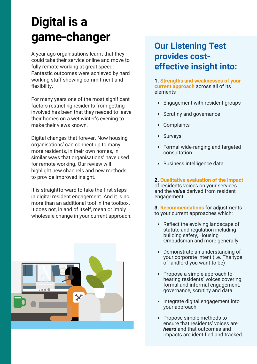## **Digital is a game-changer**

A year ago organisations learnt that they could take their service online and move to fully remote working at great speed. Fantastic outcomes were achieved by hard working staff showing commitment and flexibility.

For many years one of the most significant factors restricting residents from getting involved has been that they needed to leave their homes on a wet winter's evening to make their views known.

Digital changes that forever. Now housing organisations' can connect up to many more residents, in their own homes, in similar ways that organisations' have used for remote working. Our review will highlight new channels and new methods, to provide improved insight.

It is straightforward to take the first steps in digital resident engagement. And it is no more than an additional tool in the toolbox. It does not, in and of itself, mean or imply wholesale change in your current approach.



### **Our Listening Test provides costeffective insight into:**

**1. Strengths and weaknesses of your current approach** across all of its elements

- Engagement with resident groups
- Scrutiny and governance
- Complaints
- Surveys
- Formal wide-ranging and targeted consultation
- Business intelligence data

**2. Qualitative evaluation of the impact** of residents voices on your services and the *value* derived from resident engagement.

**3. Recommendations** for adjustments to your current approaches which:

- Reflect the evolving landscape of statute and regulation including building safety, Housing Ombudsman and more generally
- Demonstrate an understanding of your corporate intent (i.e. The type of landlord you want to be)
- Propose a simple approach to hearing residents' voices covering formal and informal engagement, governance, scrutiny and data
- Integrate digital engagement into your approach
- Propose simple methods to ensure that residents' voices are *heard* and that outcomes and impacts are identified and tracked.